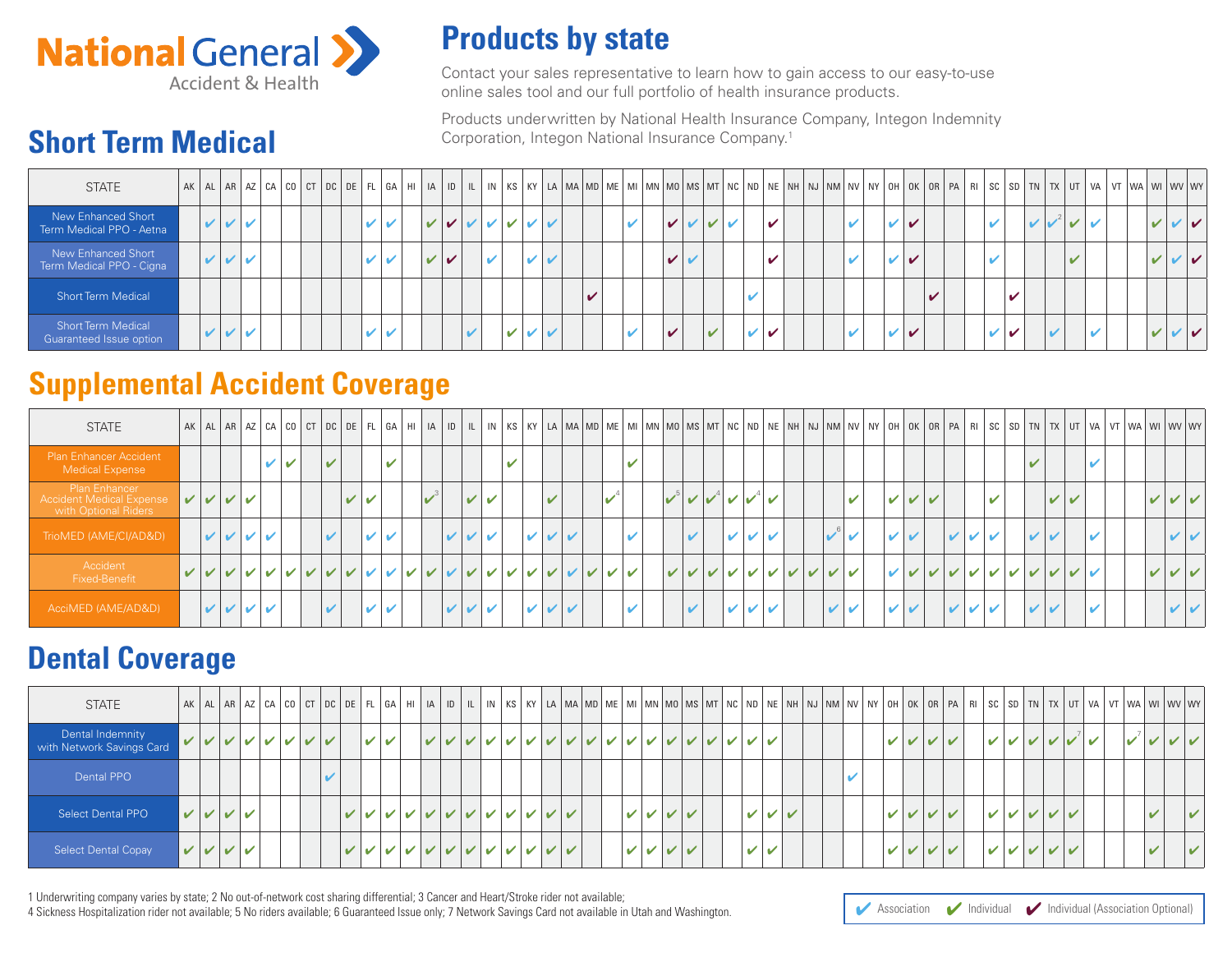

**Short Term Medical**

# **Products by state**

Contact your sales representative to learn how to gain access to our easy-to-use Online sales representative to learn now to gain access to or<br>online sales tool and our full portfolio of health insurance products.

> Products underwritten by National Health Insurance Company, Integon Indemnity Corporation, Integon National Insurance Company.1

| <b>STATE</b>                                         |  |         |  | AK AL AR AZ CA CO CT DC DE FL GA HI A D IL INKS KY LA MA MD ME MIMN MOMS MT NC ND NE NH NJ NM NV NY OH OK OR PA FISC SD TN TX UT VA VT WA WY WY WY |  |                    |                            |   |              |   |   |                    |  |                |              |              |                            |              |  |                            |  |                         |  |   |               |  |   |   |              |                          |  |  |                |  |
|------------------------------------------------------|--|---------|--|----------------------------------------------------------------------------------------------------------------------------------------------------|--|--------------------|----------------------------|---|--------------|---|---|--------------------|--|----------------|--------------|--------------|----------------------------|--------------|--|----------------------------|--|-------------------------|--|---|---------------|--|---|---|--------------|--------------------------|--|--|----------------|--|
| New Enhanced Short<br>Term Medical PPO - Aetna       |  | $V$ $V$ |  |                                                                                                                                                    |  | v                  | び                          | ✓ |              |   |   |                    |  |                | $\mathbf{z}$ |              | $\checkmark$               | $\mathbf{V}$ |  | $\boldsymbol{\mathcal{L}}$ |  | $\mathbf{v}$            |  | V |               |  |   | v |              | $\sqrt{1}$               |  |  | $\vee\vee\vee$ |  |
| New Enhanced Short<br>Term Medical PPO - Cigna       |  | VVV     |  |                                                                                                                                                    |  | ✔                  | $\boldsymbol{\mathcal{U}}$ | ✔ | $\checkmark$ | ✔ |   |                    |  |                |              |              | $\boldsymbol{\mathcal{U}}$ |              |  |                            |  | $\mathbf{v}$            |  | ✔ |               |  |   |   |              | $\overline{\mathcal{L}}$ |  |  | $\vee\vee\vee$ |  |
| <b>Short Term Medical</b>                            |  |         |  |                                                                                                                                                    |  |                    |                            |   |              |   |   |                    |  | $\overline{a}$ |              |              |                            |              |  |                            |  |                         |  |   | $\mathcal{L}$ |  | v |   |              |                          |  |  |                |  |
| <b>Short Term Medical</b><br>Guaranteed Issue option |  | VVV     |  |                                                                                                                                                    |  | $\boldsymbol{\nu}$ | $\overline{\mathbf{v}}$    |   |              |   | v | $\boldsymbol{\nu}$ |  |                |              | $\mathbf{v}$ |                            | $\mathbf{v}$ |  | ✔                          |  | $\overline{\mathbf{v}}$ |  | V |               |  | ✔ |   | $\mathbf{z}$ |                          |  |  | $\vee\vee\vee$ |  |

## **Supplemental Accident Coverage**

| <b>STATE</b>                                                             |  |                                                                                      |              |             |              |   |   |              |  |              |              |                         |              |   |                            |  |              |            |                         |               |              |              |                                                       |  |               |  |                      |              |                     |                                 |              |        |            | AK AL AR AZ CA CO CT DC DE FL GA HI IA ID IL IN KS KY LA MA MD ME MI MN MO MS MT NC ND NE NH NJ NM NV NY OH OK OR PA RI SC SD TN TX UT VA VT WA WI WV WY |              |               |  |
|--------------------------------------------------------------------------|--|--------------------------------------------------------------------------------------|--------------|-------------|--------------|---|---|--------------|--|--------------|--------------|-------------------------|--------------|---|----------------------------|--|--------------|------------|-------------------------|---------------|--------------|--------------|-------------------------------------------------------|--|---------------|--|----------------------|--------------|---------------------|---------------------------------|--------------|--------|------------|----------------------------------------------------------------------------------------------------------------------------------------------------------|--------------|---------------|--|
| <b>Plan Enhancer Accident</b><br>Medical Expense                         |  |                                                                                      | $\mathbf{v}$ | $\mathbf v$ | $\mathbf{v}$ |   |   | $\mathbf{v}$ |  |              |              |                         | $\mathbf{v}$ |   |                            |  | $\mathbf{v}$ |            |                         |               |              |              |                                                       |  |               |  |                      |              |                     |                                 | $\mathbf{v}$ |        |            |                                                                                                                                                          |              |               |  |
| Plan Enhancer<br><b>Accident Medical Expense</b><br>with Optional Riders |  | $\vert\,\vert\,\vert\,\vert\,\vert\,\vert\,\vert\,\vert\,\vert\,\vert\,\vert\,\vert$ |              |             |              | V |   |              |  |              | $\mathbf{v}$ | $\overline{\mathbf{v}}$ |              |   | $\overline{\mathcal{L}}$   |  |              | $\sqrt{5}$ |                         | $\mathcal{V}$ |              | $\vee$       | $\overline{\mathscr{L}}$                              |  | $\mathbf{v}$  |  | $\vee$ $\vee$ $\vee$ |              |                     | $\mathbf{v}$                    |              | $\vee$ | $\sqrt{2}$ |                                                                                                                                                          | $\mathbf{v}$ | $\vee$ $\vee$ |  |
| TrioMED (AME/CI/AD&D)                                                    |  | V V VV                                                                               |              |             | $\mathbf{v}$ |   | ✓ | ✔            |  | $\mathbf{v}$ |              |                         |              | ✓ | $\boldsymbol{\mathcal{V}}$ |  | $\mathbf{v}$ |            | $\overline{\mathbf{v}}$ |               | $\mathbf{v}$ | $\mathbf{v}$ | $\overline{\mathscr{L}}$                              |  | $\mathbf{v}$  |  |                      | $\mathbf{v}$ | V                   | $\overline{\mathbf{v}}$         | $\mathbf{v}$ |        |            |                                                                                                                                                          |              | $\vee$ $\vee$ |  |
| Accident<br>Fixed-Benefit                                                |  |                                                                                      |              |             |              |   |   |              |  |              |              |                         |              |   |                            |  |              |            |                         |               |              |              |                                                       |  | $\vee$ $\vee$ |  |                      |              |                     | $V$ $V$ $V$ $V$ $V$ $V$ $V$ $V$ |              |        | ンレレ        |                                                                                                                                                          | $\mathbf{v}$ | $\vee$ $\vee$ |  |
| AcciMED (AME/AD&D)                                                       |  | $ V $ $ V $ $ V $                                                                    |              |             | $\mathbf{v}$ |   | ✔ | ✔            |  | $\mathbf{v}$ |              | $\mathbf{v}$            |              | ✓ | $\boldsymbol{\mathcal{V}}$ |  | $\mathbf{v}$ |            |                         |               | $\mathbf{v}$ |              | $\boldsymbol{\mathcal{U}}$ $\boldsymbol{\mathcal{V}}$ |  | VV            |  |                      | $\vee$       | $\boldsymbol{\vee}$ |                                 | ✓            |        |            |                                                                                                                                                          |              | $\vee$ $\vee$ |  |

### **Dental Coverage**

| <b>STATE</b>                                  |                                                                                      |  |  |  |                                                                                                   |   |   |                             |  |  |                 |   |  |                                                                                                        |  |     |                  |  |   |          |            |  |   |       |             |  |  |   | AK AL AR AZ CA CO CT DC DE FL GA HI IA ID IL IN KS KY LA MA MD ME MI MN MO MS MT NC ND NE NH NJ NM NV NY OH OK OR PA RI SC SD TN TX UT VA VT WA WY WY |
|-----------------------------------------------|--------------------------------------------------------------------------------------|--|--|--|---------------------------------------------------------------------------------------------------|---|---|-----------------------------|--|--|-----------------|---|--|--------------------------------------------------------------------------------------------------------|--|-----|------------------|--|---|----------|------------|--|---|-------|-------------|--|--|---|-------------------------------------------------------------------------------------------------------------------------------------------------------|
| Dental Indemnity<br>with Network Savings Card |                                                                                      |  |  |  | $\mathbf{v}$                                                                                      | V | V | $\vee$ $\vee$ $\vee$ $\vee$ |  |  | $V$ $V$ $V$ $V$ | ✔ |  | V V V V V                                                                                              |  | レレレ |                  |  |   | $\sim$ 1 | $\sqrt{V}$ |  | ✓ |       | $V$ $V$ $V$ |  |  |   |                                                                                                                                                       |
| Dental PPO                                    |                                                                                      |  |  |  |                                                                                                   |   |   |                             |  |  |                 |   |  |                                                                                                        |  |     |                  |  | v |          |            |  |   |       |             |  |  |   |                                                                                                                                                       |
| <b>Select Dental PPO</b>                      | $\vert\,\vert\,\vert\,\vert\,\vert\,\vert\,\vert\,\vert\,\vert\,\vert\,\vert\,\vert$ |  |  |  | $\vert V \vert V \vert V \vert V \vert V \vert V \vert V \vert V \vert V \vert V \vert V \vert V$ |   |   |                             |  |  |                 |   |  | $\vert\bm{\mathsf{v}}\vert\bm{\mathsf{v}}\vert\bm{\mathsf{v}}\vert\bm{\mathsf{v}}\vert\bm{\mathsf{v}}$ |  |     | レレレ              |  |   |          | VVVV       |  |   | レレレレレ |             |  |  | ັ | $\mathcal{V}$                                                                                                                                         |
| <b>Select Dental Copay</b>                    | $V$ $V$ $V$ $V$                                                                      |  |  |  | $\vert V \vert V \vert V \vert V \vert V \vert V \vert V \vert V \vert V \vert V \vert V \vert V$ |   |   |                             |  |  |                 |   |  | $\vert\bm v\vert\bm v\vert\bm v\vert\bm v$                                                             |  |     | $\boldsymbol{v}$ |  |   |          | VVVV       |  |   | レレレレレ |             |  |  |   | $\vee$                                                                                                                                                |

1 Underwriting company varies by state; 2 No out-of-network cost sharing differential; 3 Cancer and Heart/Stroke rider not available;

4 Sickness Hospitalization rider not available; 5 No riders available; 6 Guaranteed Issue only; 7 Network Savings Card not available in Utah and Washington.